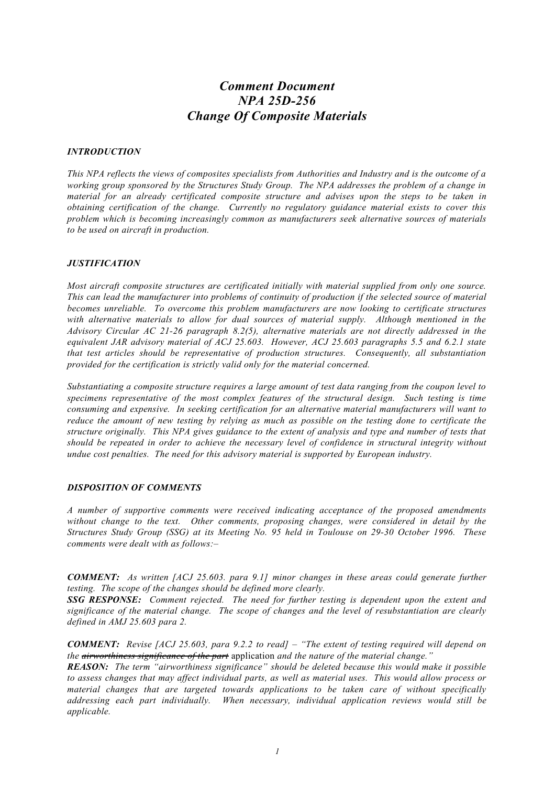# *Comment Document NPA 25D-256 Change Of Composite Materials*

### *INTRODUCTION*

*This NPA reflects the views of composites specialists from Authorities and Industry and is the outcome of a working group sponsored by the Structures Study Group. The NPA addresses the problem of a change in material for an already certificated composite structure and advises upon the steps to be taken in obtaining certification of the change. Currently no regulatory guidance material exists to cover this problem which is becoming increasingly common as manufacturers seek alternative sources of materials to be used on aircraft in production.*

## *JUSTIFICATION*

*Most aircraft composite structures are certificated initially with material supplied from only one source. This can lead the manufacturer into problems of continuity of production if the selected source of material becomes unreliable. To overcome this problem manufacturers are now looking to certificate structures with alternative materials to allow for dual sources of material supply. Although mentioned in the Advisory Circular AC 21-26 paragraph 8.2(5), alternative materials are not directly addressed in the equivalent JAR advisory material of ACJ 25.603. However, ACJ 25.603 paragraphs 5.5 and 6.2.1 state that test articles should be representative of production structures. Consequently, all substantiation provided for the certification is strictly valid only for the material concerned.*

*Substantiating a composite structure requires a large amount of test data ranging from the coupon level to specimens representative of the most complex features of the structural design. Such testing is time consuming and expensive. In seeking certification for an alternative material manufacturers will want to reduce the amount of new testing by relying as much as possible on the testing done to certificate the structure originally. This NPA gives guidance to the extent of analysis and type and number of tests that should be repeated in order to achieve the necessary level of confidence in structural integrity without undue cost penalties. The need for this advisory material is supported by European industry.*

#### *DISPOSITION OF COMMENTS*

*A number of supportive comments were received indicating acceptance of the proposed amendments without change to the text. Other comments, proposing changes, were considered in detail by the Structures Study Group (SSG) at its Meeting No. 95 held in Toulouse on 29-30 October 1996. These comments were dealt with as follows:–*

*COMMENT: As written [ACJ 25.603. para 9.1] minor changes in these areas could generate further testing. The scope of the changes should be defined more clearly.*

*SSG RESPONSE: Comment rejected. The need for further testing is dependent upon the extent and significance of the material change. The scope of changes and the level of resubstantiation are clearly defined in AMJ 25.603 para 2.*

*COMMENT: Revise [ACJ 25.603, para 9.2.2 to read] – "The extent of testing required will depend on the airworthiness significance of the part* application *and the nature of the material change."*

*REASON: The term "airworthiness significance" should be deleted because this would make it possible to assess changes that may affect individual parts, as well as material uses. This would allow process or material changes that are targeted towards applications to be taken care of without specifically addressing each part individually. When necessary, individual application reviews would still be applicable.*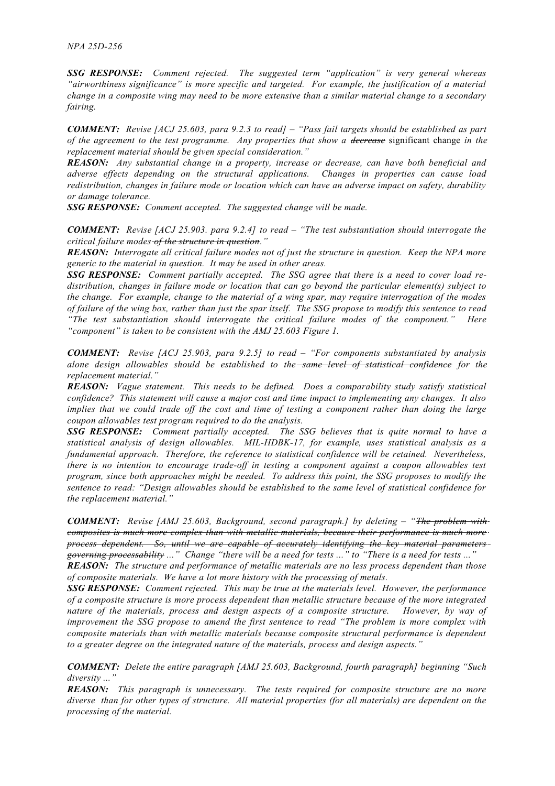*SSG RESPONSE: Comment rejected. The suggested term "application" is very general whereas "airworthiness significance" is more specific and targeted. For example, the justification of a material change in a composite wing may need to be more extensive than a similar material change to a secondary fairing.*

*COMMENT: Revise [ACJ 25.603, para 9.2.3 to read] – "Pass fail targets should be established as part of the agreement to the test programme. Any properties that show a decrease* significant change *in the replacement material should be given special consideration."*

*REASON: Any substantial change in a property, increase or decrease, can have both beneficial and adverse effects depending on the structural applications. Changes in properties can cause load redistribution, changes in failure mode or location which can have an adverse impact on safety, durability or damage tolerance.*

*SSG RESPONSE: Comment accepted. The suggested change will be made.*

*COMMENT: Revise [ACJ 25.903. para 9.2.4] to read – "The test substantiation should interrogate the critical failure modes of the structure in question ."*

*REASON: Interrogate all critical failure modes not of just the structure in question. Keep the NPA more generic to the material in question. It may be used in other areas.*

*SSG RESPONSE: Comment partially accepted. The SSG agree that there is a need to cover load redistribution, changes in failure mode or location that can go beyond the particular element(s) subject to the change. For example, change to the material of a wing spar, may require interrogation of the modes of failure of the wing box, rather than just the spar itself. The SSG propose to modify this sentence to read "The test substantiation should interrogate the critical failure modes of the component." Here "component" is taken to be consistent with the AMJ 25.603 Figure 1.*

*COMMENT: Revise [ACJ 25.903, para 9.2.5] to read – "For components substantiated by analysis alone design allowables should be established to the same level of statistical confidence for the replacement material."*

*REASON: Vague statement. This needs to be defined. Does a comparability study satisfy statistical confidence? This statement will cause a major cost and time impact to implementing any changes. It also implies that we could trade off the cost and time of testing a component rather than doing the large coupon allowables test program required to do the analysis.*

*SSG RESPONSE: Comment partially accepted. The SSG believes that is quite normal to have a statistical analysis of design allowables. MIL-HDBK-17, for example, uses statistical analysis as a fundamental approach. Therefore, the reference to statistical confidence will be retained. Nevertheless, there is no intention to encourage trade-off in testing a component against a coupon allowables test program, since both approaches might be needed. To address this point, the SSG proposes to modify the sentence to read: "Design allowables should be established to the same level of statistical confidence for the replacement material."*

*COMMENT: Revise [AMJ 25.603, Background, second paragraph.] by deleting – "The problem with composites is much more complex than with metallic materials, because their performance is much more process dependent. So, until we are capable of accurately identifying the key material parameters governing processability ..." Change "there will be a need for tests ..." to "There is a need for tests ..."*

*REASON: The structure and performance of metallic materials are no less process dependent than those of composite materials. We have a lot more history with the processing of metals.*

*SSG RESPONSE: Comment rejected. This may be true at the materials level. However, the performance of a composite structure is more process dependent than metallic structure because of the more integrated nature of the materials, process and design aspects of a composite structure. However, by way of improvement the SSG propose to amend the first sentence to read "The problem is more complex with composite materials than with metallic materials because composite structural performance is dependent to a greater degree on the integrated nature of the materials, process and design aspects."*

*COMMENT: Delete the entire paragraph [AMJ 25.603, Background, fourth paragraph] beginning "Such diversity ..."*

*REASON: This paragraph is unnecessary. The tests required for composite structure are no more diverse than for other types of structure. All material properties (for all materials) are dependent on the processing of the material.*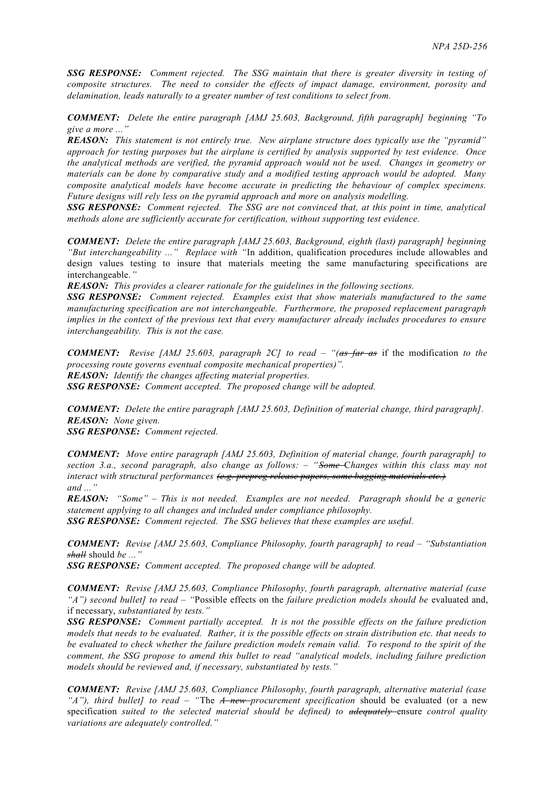*SSG RESPONSE: Comment rejected. The SSG maintain that there is greater diversity in testing of composite structures. The need to consider the effects of impact damage, environment, porosity and delamination, leads naturally to a greater number of test conditions to select from.*

*COMMENT: Delete the entire paragraph [AMJ 25.603, Background, fifth paragraph] beginning "To give a more ..."*

*REASON: This statement is not entirely true. New airplane structure does typically use the "pyramid" approach for testing purposes but the airplane is certified by analysis supported by test evidence. Once the analytical methods are verified, the pyramid approach would not be used. Changes in geometry or materials can be done by comparative study and a modified testing approach would be adopted. Many composite analytical models have become accurate in predicting the behaviour of complex specimens. Future designs will rely less on the pyramid approach and more on analysis modelling.*

*SSG RESPONSE: Comment rejected. The SSG are not convinced that, at this point in time, analytical methods alone are sufficiently accurate for certification, without supporting test evidence.*

*COMMENT: Delete the entire paragraph [AMJ 25.603, Background, eighth (last) paragraph] beginning "But interchangeability ..." Replace with "*In addition, qualification procedures include allowables and design values testing to insure that materials meeting the same manufacturing specifications are interchangeable.*"*

*REASON: This provides a clearer rationale for the guidelines in the following sections.*

*SSG RESPONSE: Comment rejected. Examples exist that show materials manufactured to the same manufacturing specification are not interchangeable. Furthermore, the proposed replacement paragraph implies in the context of the previous text that every manufacturer already includes procedures to ensure interchangeability. This is not the case.*

*COMMENT: Revise [AMJ 25.603, paragraph 2C] to read – "(as far as* if the modification *to the processing route governs eventual composite mechanical properties)". REASON: Identify the changes affecting material properties. SSG RESPONSE: Comment accepted. The proposed change will be adopted.*

*COMMENT: Delete the entire paragraph [AMJ 25.603, Definition of material change, third paragraph]. REASON: None given.*

*SSG RESPONSE: Comment rejected.*

*COMMENT: Move entire paragraph [AMJ 25.603, Definition of material change, fourth paragraph] to section 3.a., second paragraph, also change as follows: – "Some* C*hanges within this class may not interact with structural performances (e.g. prepreg release papers, some bagging materials etc.) and ..."*

*REASON: "Some" – This is not needed. Examples are not needed. Paragraph should be a generic statement applying to all changes and included under compliance philosophy.*

*SSG RESPONSE: Comment rejected. The SSG believes that these examples are useful.*

*COMMENT: Revise [AMJ 25.603, Compliance Philosophy, fourth paragraph] to read – "Substantiation shall* should *be ..."*

*SSG RESPONSE: Comment accepted. The proposed change will be adopted.*

*COMMENT: Revise [AMJ 25.603, Compliance Philosophy, fourth paragraph, alternative material (case "A") second bullet] to read – "*Possible effects on the *failure prediction models should be* evaluated and, if necessary, *substantiated by tests."*

*SSG RESPONSE: Comment partially accepted. It is not the possible effects on the failure prediction models that needs to be evaluated. Rather, it is the possible effects on strain distribution etc. that needs to be evaluated to check whether the failure prediction models remain valid. To respond to the spirit of the comment, the SSG propose to amend this bullet to read "analytical models, including failure prediction models should be reviewed and, if necessary, substantiated by tests."*

*COMMENT: Revise [AMJ 25.603, Compliance Philosophy, fourth paragraph, alternative material (case "A"), third bullet] to read – "*The *A new procurement specification* should be evaluated (or a new specification *suited to the selected material should be defined) to adequately* ensure *control quality variations are adequately controlled."*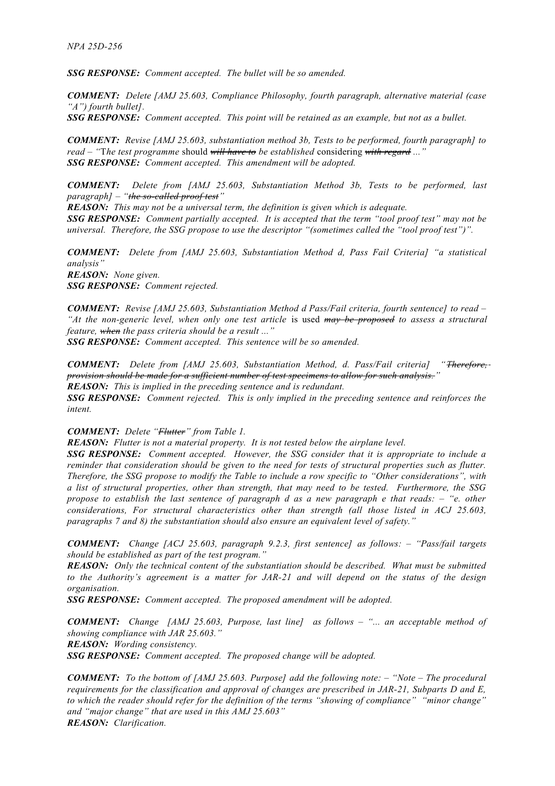*SSG RESPONSE: Comment accepted. The bullet will be so amended.*

*COMMENT: Delete [AMJ 25.603, Compliance Philosophy, fourth paragraph, alternative material (case "A") fourth bullet].*

*SSG RESPONSE: Comment accepted. This point will be retained as an example, but not as a bullet.*

*COMMENT: Revise [AMJ 25.603, substantiation method 3b, Tests to be performed, fourth paragraph] to read – "*T*he test programme* should *will have to be established* considering *with regard ..." SSG RESPONSE: Comment accepted. This amendment will be adopted.*

*COMMENT: Delete from [AMJ 25.603, Substantiation Method 3b, Tests to be performed, last paragraph] – "the so-called proof test "*

*REASON: This may not be a universal term, the definition is given which is adequate. SSG RESPONSE: Comment partially accepted. It is accepted that the term "tool proof test" may not be universal. Therefore, the SSG propose to use the descriptor "(sometimes called the "tool proof test")".*

*COMMENT: Delete from [AMJ 25.603, Substantiation Method d, Pass Fail Criteria] "a statistical analysis" REASON: None given. SSG RESPONSE: Comment rejected.*

*COMMENT: Revise [AMJ 25.603, Substantiation Method d Pass/Fail criteria, fourth sentence] to read – "At the non-generic level, when only one test article* is used *may be proposed to assess a structural feature, when the pass criteria should be a result ..."*

*SSG RESPONSE: Comment accepted. This sentence will be so amended.*

*COMMENT: Delete from [AMJ 25.603, Substantiation Method, d. Pass/Fail criteria] "Therefore, provision should be made for a sufficient number of test specimens to allow for such analysis. " REASON: This is implied in the preceding sentence and is redundant.*

*SSG RESPONSE: Comment rejected. This is only implied in the preceding sentence and reinforces the intent.*

## *COMMENT: Delete "Flutter " from Table 1.*

*REASON: Flutter is not a material property. It is not tested below the airplane level.*

*SSG RESPONSE: Comment accepted. However, the SSG consider that it is appropriate to include a reminder that consideration should be given to the need for tests of structural properties such as flutter. Therefore, the SSG propose to modify the Table to include a row specific to "Other considerations", with a list of structural properties, other than strength, that may need to be tested. Furthermore, the SSG propose to establish the last sentence of paragraph d as a new paragraph e that reads: – "e. other considerations, For structural characteristics other than strength (all those listed in ACJ 25.603, paragraphs 7 and 8) the substantiation should also ensure an equivalent level of safety."*

*COMMENT: Change [ACJ 25.603, paragraph 9.2.3, first sentence] as follows: – "Pass/fail targets should be established as part of the test program."*

*REASON: Only the technical content of the substantiation should be described. What must be submitted to the Authority's agreement is a matter for JAR-21 and will depend on the status of the design organisation.*

*SSG RESPONSE: Comment accepted. The proposed amendment will be adopted.*

*COMMENT: Change [AMJ 25.603, Purpose, last line] as follows – "... an acceptable method of showing compliance with JAR 25.603." REASON: Wording consistency.*

*SSG RESPONSE: Comment accepted. The proposed change will be adopted.*

*COMMENT: To the bottom of [AMJ 25.603. Purpose] add the following note: – "Note – The procedural requirements for the classification and approval of changes are prescribed in JAR-21, Subparts D and E, to which the reader should refer for the definition of the terms "showing of compliance" "minor change" and "major change" that are used in this AMJ 25.603" REASON: Clarification.*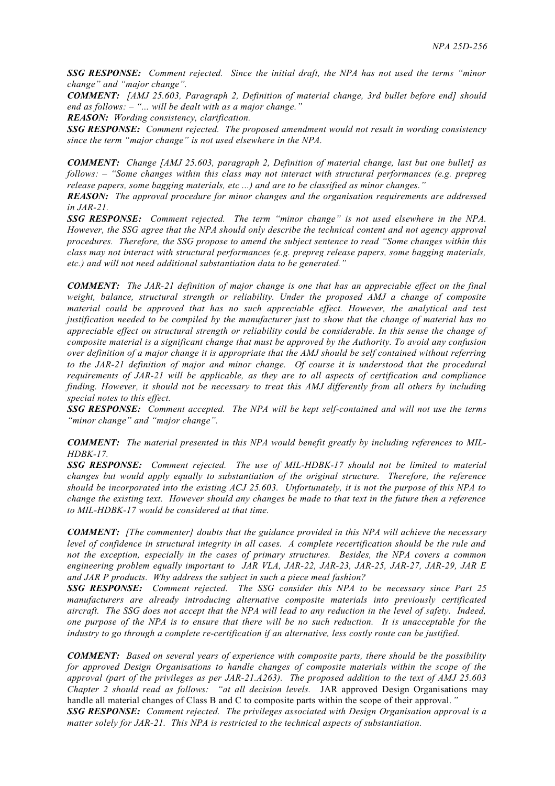*SSG RESPONSE: Comment rejected. Since the initial draft, the NPA has not used the terms "minor change" and "major change".*

*COMMENT: [AMJ 25.603, Paragraph 2, Definition of material change, 3rd bullet before end] should end as follows: – "... will be dealt with as a major change."*

*REASON: Wording consistency, clarification.*

*SSG RESPONSE: Comment rejected. The proposed amendment would not result in wording consistency since the term "major change" is not used elsewhere in the NPA.*

*COMMENT: Change [AMJ 25.603, paragraph 2, Definition of material change, last but one bullet] as follows: – "Some changes within this class may not interact with structural performances (e.g. prepreg release papers, some bagging materials, etc ...) and are to be classified as minor changes."*

*REASON: The approval procedure for minor changes and the organisation requirements are addressed in JAR-21.*

*SSG RESPONSE: Comment rejected. The term "minor change" is not used elsewhere in the NPA. However, the SSG agree that the NPA should only describe the technical content and not agency approval procedures. Therefore, the SSG propose to amend the subject sentence to read "Some changes within this class may not interact with structural performances (e.g. prepreg release papers, some bagging materials, etc.) and will not need additional substantiation data to be generated."*

*COMMENT: The JAR-21 definition of major change is one that has an appreciable effect on the final weight, balance, structural strength or reliability. Under the proposed AMJ a change of composite material could be approved that has no such appreciable effect. However, the analytical and test justification needed to be compiled by the manufacturer just to show that the change of material has no appreciable effect on structural strength or reliability could be considerable. In this sense the change of composite material is a significant change that must be approved by the Authority. To avoid any confusion over definition of a major change it is appropriate that the AMJ should be self contained without referring to the JAR-21 definition of major and minor change. Of course it is understood that the procedural requirements of JAR-21 will be applicable, as they are to all aspects of certification and compliance finding. However, it should not be necessary to treat this AMJ differently from all others by including special notes to this effect.*

*SSG RESPONSE: Comment accepted. The NPA will be kept self-contained and will not use the terms "minor change" and "major change".*

*COMMENT: The material presented in this NPA would benefit greatly by including references to MIL-HDBK-17.*

*SSG RESPONSE: Comment rejected. The use of MIL-HDBK-17 should not be limited to material changes but would apply equally to substantiation of the original structure. Therefore, the reference should be incorporated into the existing ACJ 25.603. Unfortunately, it is not the purpose of this NPA to change the existing text. However should any changes be made to that text in the future then a reference to MIL-HDBK-17 would be considered at that time.*

*COMMENT: [The commenter] doubts that the guidance provided in this NPA will achieve the necessary level of confidence in structural integrity in all cases. A complete recertification should be the rule and not the exception, especially in the cases of primary structures. Besides, the NPA covers a common engineering problem equally important to JAR VLA, JAR-22, JAR-23, JAR-25, JAR-27, JAR-29, JAR E and JAR P products. Why address the subject in such a piece meal fashion?*

*SSG RESPONSE: Comment rejected. The SSG consider this NPA to be necessary since Part 25 manufacturers are already introducing alternative composite materials into previously certificated aircraft. The SSG does not accept that the NPA will lead to any reduction in the level of safety. Indeed, one purpose of the NPA is to ensure that there will be no such reduction. It is unacceptable for the industry to go through a complete re-certification if an alternative, less costly route can be justified.*

*COMMENT: Based on several years of experience with composite parts, there should be the possibility for approved Design Organisations to handle changes of composite materials within the scope of the approval (part of the privileges as per JAR-21.A263). The proposed addition to the text of AMJ 25.603 Chapter 2 should read as follows: "at all decision levels.* JAR approved Design Organisations may handle all material changes of Class B and C to composite parts within the scope of their approval.*" SSG RESPONSE: Comment rejected. The privileges associated with Design Organisation approval is a*

*matter solely for JAR-21. This NPA is restricted to the technical aspects of substantiation.*